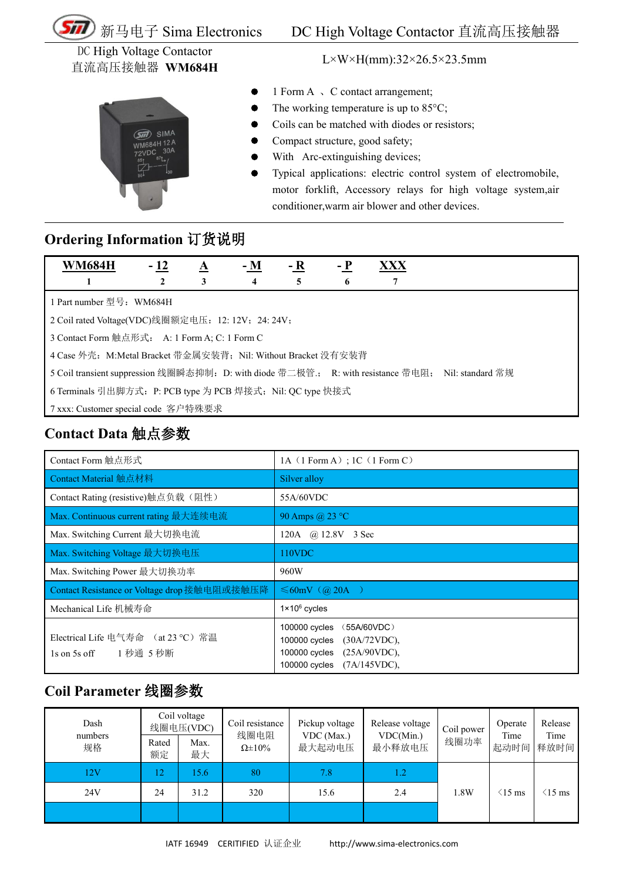

DC High Voltage Contactor 直流高压接触器 **WM684H**

 $SIM/$ 

L×W×H(mm):32×26.5×23.5mm

- 1 Form A  $\sqrt{C}$  contact arrangement;
- The working temperature is up to 85°C;
- Coils can be matched with diodes or resistors;
- Compact structure, good safety;
- With Arc-extinguishing devices;
- Typical applications: electric control system of electromobile, motor forklift, Accessory relays for high voltage system,air conditioner,warm air blower and other devices.

#### **Ordering Information** 订货说明

| <b>WM684H</b>                                                                                      | $-12$ | $\Delta$ | $- M$ | - R | – P | XXX |  |  |
|----------------------------------------------------------------------------------------------------|-------|----------|-------|-----|-----|-----|--|--|
|                                                                                                    |       | 3        | 4     |     | 6   |     |  |  |
| l Part number 型号:WM684H                                                                            |       |          |       |     |     |     |  |  |
| 2 Coil rated Voltage(VDC)线圈额定电压: 12: 12V; 24: 24V;                                                 |       |          |       |     |     |     |  |  |
| 3 Contact Form 触点形式: A: 1 Form A; C: 1 Form C                                                      |       |          |       |     |     |     |  |  |
| 4 Case 外壳: M:Metal Bracket 带金属安装背; Nil: Without Bracket 没有安装背                                      |       |          |       |     |     |     |  |  |
| 5 Coil transient suppression 线圈瞬态抑制: D: with diode 带二极管:; R: with resistance 带电阻; Nil: standard 常规 |       |          |       |     |     |     |  |  |
| 6 Terminals 引出脚方式: P: PCB type 为 PCB 焊接式; Nil: QC type 快接式                                         |       |          |       |     |     |     |  |  |
| ┃ 7 xxx: Customer special code 客户特殊要求                                                              |       |          |       |     |     |     |  |  |

## **Contact Data** 触点参数

| Contact Form 触点形式                                           | 1A(1 Form A): 1C(1 Form C)                                                                                                                 |  |  |  |  |
|-------------------------------------------------------------|--------------------------------------------------------------------------------------------------------------------------------------------|--|--|--|--|
| Contact Material 触点材料                                       | Silver alloy                                                                                                                               |  |  |  |  |
| Contact Rating (resistive)触点负载(阻性)                          | 55A/60VDC                                                                                                                                  |  |  |  |  |
| Max. Continuous current rating 最大连续电流                       | 90 Amps @ 23 °C                                                                                                                            |  |  |  |  |
| Max. Switching Current 最大切换电流                               | 120A @ 12.8V 3 Sec                                                                                                                         |  |  |  |  |
| Max. Switching Voltage 最大切换电压                               | 110VDC                                                                                                                                     |  |  |  |  |
| Max. Switching Power 最大切换功率                                 | 960W                                                                                                                                       |  |  |  |  |
| Contact Resistance or Voltage drop 接触电阻或接触压降                | $\leq 60$ mV (@ 20A)                                                                                                                       |  |  |  |  |
| Mechanical Life 机械寿命                                        | $1 \times 10^6$ cycles                                                                                                                     |  |  |  |  |
| Electrical Life 电气寿命 (at 23 ℃) 常温<br>1s on 5s off 1 秒通 5 秒断 | 100000 cycles<br>(55A/60VDC)<br>$(30A/72VDC)$ ,<br>100000 cycles<br>$(25A/90VDC)$ ,<br>100000 cycles<br>$(7A/145VDC)$ ,<br>$100000$ cycles |  |  |  |  |

#### **Coil Parameter** 线圈参数

| Dash<br>numbers<br>规格 | Rated<br>额定 | Coil voltage<br>线圈电压(VDC)<br>Max.<br>最大 | Coil resistance<br>线圈电阻<br>$\Omega \pm 10\%$ | Pickup voltage<br>VDC (Max.)<br>最大起动电压 | Release voltage<br>VDC(Min.)<br>最小释放电压 | Coil power<br>线圈功率 | Operate<br>Time<br>起动时间 | Release<br>Time<br>释放时间 |
|-----------------------|-------------|-----------------------------------------|----------------------------------------------|----------------------------------------|----------------------------------------|--------------------|-------------------------|-------------------------|
| 12V                   | 12          | 15.6                                    | 80                                           | 7.8                                    | 1.2                                    |                    |                         |                         |
| 24V                   | 24          | 31.2                                    | 320                                          | 15.6                                   | 2.4                                    | 1.8W               | $\leq$ 15 ms            | $(15 \text{ ms})$       |
|                       |             |                                         |                                              |                                        |                                        |                    |                         |                         |